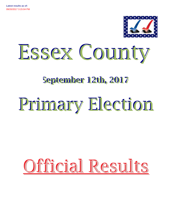



# **September 12th, 2017**

# Primary Election

# Official Results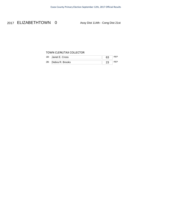### 2017 ELIZABETHTOWN 0 Assy Dist 114th - Cong Dist 21st

#### TOWN CLERK/TAX COLLECTOR

| 1B: | Janet E. Cross  | 63 |  |
|-----|-----------------|----|--|
| 2B: | Debra R. Brooks |    |  |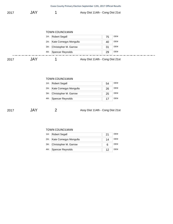|      |            | Essex County Primary Election September 12th, 2017 Official Results |  |  |
|------|------------|---------------------------------------------------------------------|--|--|
| 2017 | <b>JAY</b> | Assy Dist 114th - Cong Dist 21st                                    |  |  |

|      |     |     | <b>TOWN COUNCILMAN</b>    |                                  |    |     |
|------|-----|-----|---------------------------|----------------------------------|----|-----|
|      |     | 1A: | <b>Robert Segall</b>      |                                  | 75 | DEM |
|      |     |     | 2A: Kate Comegys Mongulla |                                  | 40 | DEM |
|      |     | 3A: | Christopher M. Garrow     |                                  | 31 | DEM |
|      |     |     | 4A: Spencer Reynolds      |                                  | 29 | DEM |
| 2017 | JAY |     |                           | Assy Dist 114th - Cong Dist 21st |    |     |

#### TOWN COUNCILMAN

| 1A: Robert Segall         | 54 | <b>DEM</b> |
|---------------------------|----|------------|
| 2A: Kate Comegys Mongulla | 26 | <b>DEM</b> |
| 3A: Christopher M. Garrow | 25 | <b>DEM</b> |
| 4A: Spencer Reynolds      |    | <b>DEM</b> |

2017 JAY 2 Assy Dist 114th - Cong Dist 21st

#### TOWN COUNCILMAN

| 1A: Robert Segall         |    | <b>DEM</b> |
|---------------------------|----|------------|
| 2A: Kate Comegys Mongulla | 14 | DEM        |
| 3A: Christopher M. Garrow |    | DEM        |
| 4A: Spencer Reynolds      | 12 | <b>DEM</b> |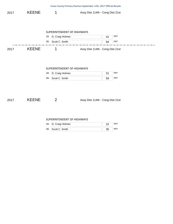|      |              |                            | Essex County Primary Election September 12th, 2017 Official Results |            |
|------|--------------|----------------------------|---------------------------------------------------------------------|------------|
| 2017 | <b>KEENE</b> | 1                          | Assy Dist 114th - Cong Dist 21st                                    |            |
|      |              |                            |                                                                     |            |
|      |              | SUPERINTENDENT OF HIGHWAYS |                                                                     |            |
|      |              | D. Craig Holmes<br>1B:     | 41                                                                  | <b>REP</b> |
|      |              | Scott C. Smith<br>2B:      | 94                                                                  | <b>REP</b> |
| 2017 | <b>KEENE</b> | 1                          | Assy Dist 114th - Cong Dist 21st                                    |            |
|      |              |                            |                                                                     |            |
|      |              |                            |                                                                     |            |
|      |              |                            |                                                                     |            |
|      |              | SUPERINTENDENT OF HIGHWAYS |                                                                     |            |
|      |              | D. Craig Holmes<br>1B:     | 31                                                                  | <b>REP</b> |
|      |              | Scott C. Smith<br>2B:      | 59                                                                  | <b>REP</b> |
|      |              |                            |                                                                     |            |
|      |              |                            |                                                                     |            |
|      |              |                            |                                                                     |            |
| 2017 | <b>KEENE</b> | $\overline{2}$             | Assy Dist 114th - Cong Dist 21st                                    |            |
|      |              |                            |                                                                     |            |

#### SUPERINTENDENT OF HIGHWAYS

| 1B: | D. Craig Holmes |  |
|-----|-----------------|--|
| 2B: | Scott C. Smith  |  |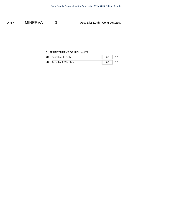2017 MINERVA 0 Assy Dist 114th - Cong Dist 21st

#### SUPERINTENDENT OF HIGHWAYS

| 1B: Jonathan L. Fish   | 46 |  |
|------------------------|----|--|
| 2B: Timothy J. Sheehan |    |  |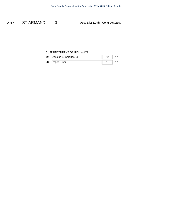2017 ST ARMAND 0 Assy Dist 114th - Cong Dist 21st

#### SUPERINTENDENT OF HIGHWAYS

| 1B. | Douglas E. Snickles, Jr |  |
|-----|-------------------------|--|
| 2B: | Roger Oliver            |  |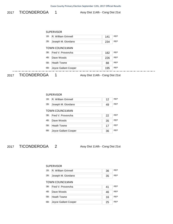#### Essex County Primary Election September 12th, 2017 Official Results

2017 TICONDEROGA 1 Assy Dist 114th - Cong Dist 21st

#### SUPERVISOR

| 1B: | R. William Grinnell    | 141 | <b>RFP</b> |
|-----|------------------------|-----|------------|
| 2B: | Joseph M. Giordano     | 234 | <b>RFP</b> |
|     | <b>TOWN COUNCILMAN</b> |     |            |
| 3B. | Fred V. Provoncha      | 182 | <b>RFP</b> |
| 4B: | Dave Woods             | 226 | <b>RFP</b> |
| 5B. | <b>Heath Towne</b>     | 88  | <b>RFP</b> |
| 6B. | Joyce Gallant Cooper   | 195 | <b>RFP</b> |

2017 TICONDEROGA 1 Assy Dist 114th - Cong Dist 21st

#### SUPERVISOR

| 1B: | R. William Grinnell |  |
|-----|---------------------|--|
| 2B: | Joseph M. Giordano  |  |

#### TOWN COUNCILMAN

|     | 3B: Fred V. Provoncha    | 22 | <b>REP</b> |
|-----|--------------------------|----|------------|
| 4B. | Dave Woods               | 35 | <b>REP</b> |
|     | 5B: Heath Towne          |    | <b>REP</b> |
|     | 6B: Joyce Gallant Cooper | 36 | <b>REP</b> |

2017 TICONDEROGA 2 Assy Dist 114th - Cong Dist 21st

#### SUPERVISOR

| 1B:                    | R. William Grinnell  | 36 | <b>RFP</b> |
|------------------------|----------------------|----|------------|
| $2B$ :                 | Joseph M. Giordano   | 35 | <b>RFP</b> |
| <b>TOWN COUNCILMAN</b> |                      |    |            |
| 3B.                    | Fred V. Provoncha    | 41 | <b>RFP</b> |
| 4B:                    | Dave Woods           | 46 | <b>RFP</b> |
| $5B$ :                 | <b>Heath Towne</b>   | 16 | <b>RFP</b> |
| 6B:                    | Joyce Gallant Cooper | 25 | <b>RFP</b> |
|                        |                      |    |            |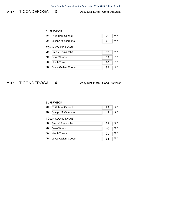2017 TICONDEROGA 3 Assy Dist 114th - Cong Dist 21st

#### SUPERVISOR

| 1B:                    | R. William Grinnell  | 25 | <b>RFP</b> |  |
|------------------------|----------------------|----|------------|--|
| 2B:                    | Joseph M. Giordano   | 41 | <b>RFP</b> |  |
| <b>TOWN COUNCILMAN</b> |                      |    |            |  |
| 3B.                    | Fred V. Provoncha    | 37 | <b>RFP</b> |  |
| 4B:                    | Dave Woods           | 33 | <b>RFP</b> |  |
| 5B:                    | <b>Heath Towne</b>   | 16 | <b>RFP</b> |  |
| 6B:                    | Joyce Gallant Cooper | 32 | <b>RFP</b> |  |

2017 TICONDEROGA 4 Assy Dist 114th - Cong Dist 21st

#### SUPERVISOR

| 1B: R. William Grinnell |  |
|-------------------------|--|
| 2B: Joseph M. Giordano  |  |

#### TOWN COUNCILMAN

| 3B: Fred V. Provoncha    | 29 | <b>RFP</b> |
|--------------------------|----|------------|
| 4B: Dave Woods           | 40 | <b>RFP</b> |
| 5B: Heath Towne          | 21 | <b>REP</b> |
| 6B: Joyce Gallant Cooper | 34 | <b>RFP</b> |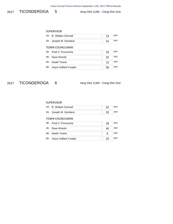2017 TICONDEROGA 5 Assy Dist 114th - Cong Dist 21st

#### SUPERVISOR

| 1B:                    | R. William Grinnell  | 13 | <b>RFP</b> |  |
|------------------------|----------------------|----|------------|--|
| 2B:                    | Joseph M. Giordano   | 41 | <b>RFP</b> |  |
| <b>TOWN COUNCILMAN</b> |                      |    |            |  |
| 3B.                    | Fred V. Provoncha    | 25 | <b>RFP</b> |  |
| 4B:                    | Dave Woods           | 32 | <b>RFP</b> |  |
| 5B:                    | <b>Heath Towne</b>   | 12 | <b>RFP</b> |  |
| 6B:                    | Joyce Gallant Cooper | 36 | <b>RFP</b> |  |

2017 TICONDEROGA 6 Assy Dist 114th - Cong Dist 21st

#### SUPERVISOR

| 1B: R. William Grinnell |  |
|-------------------------|--|
| 2B: Joseph M. Giordano  |  |

#### TOWN COUNCILMAN

|     | 3B: Fred V. Provoncha | 28 | RFP        |
|-----|-----------------------|----|------------|
|     | 4B: Dave Woods        | 40 | <b>RFP</b> |
|     | 5B: Heath Towne       | 6  | <b>RFP</b> |
| 6B: | Joyce Gallant Cooper  | 32 | <b>RFP</b> |